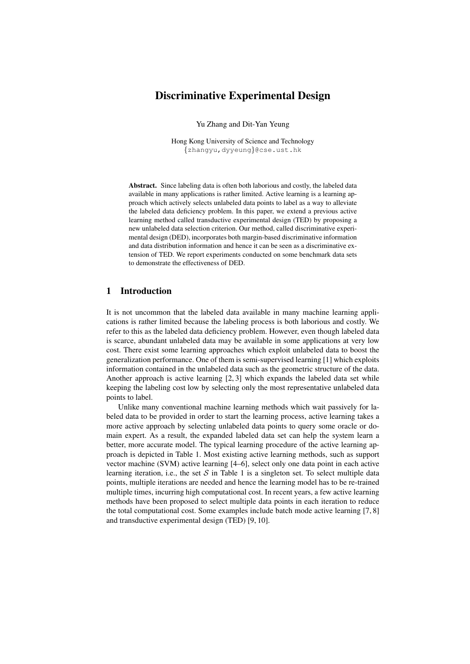# Discriminative Experimental Design

Yu Zhang and Dit-Yan Yeung

Hong Kong University of Science and Technology *{*zhangyu,dyyeung*}*@cse.ust.hk

Abstract. Since labeling data is often both laborious and costly, the labeled data available in many applications is rather limited. Active learning is a learning approach which actively selects unlabeled data points to label as a way to alleviate the labeled data deficiency problem. In this paper, we extend a previous active learning method called transductive experimental design (TED) by proposing a new unlabeled data selection criterion. Our method, called discriminative experimental design (DED), incorporates both margin-based discriminative information and data distribution information and hence it can be seen as a discriminative extension of TED. We report experiments conducted on some benchmark data sets to demonstrate the effectiveness of DED.

# 1 Introduction

It is not uncommon that the labeled data available in many machine learning applications is rather limited because the labeling process is both laborious and costly. We refer to this as the labeled data deficiency problem. However, even though labeled data is scarce, abundant unlabeled data may be available in some applications at very low cost. There exist some learning approaches which exploit unlabeled data to boost the generalization performance. One of them is semi-supervised learning [1] which exploits information contained in the unlabeled data such as the geometric structure of the data. Another approach is active learning [2, 3] which expands the labeled data set while keeping the labeling cost low by selecting only the most representative unlabeled data points to label.

Unlike many conventional machine learning methods which wait passively for labeled data to be provided in order to start the learning process, active learning takes a more active approach by selecting unlabeled data points to query some oracle or domain expert. As a result, the expanded labeled data set can help the system learn a better, more accurate model. The typical learning procedure of the active learning approach is depicted in Table 1. Most existing active learning methods, such as support vector machine (SVM) active learning [4–6], select only one data point in each active learning iteration, i.e., the set  $S$  in Table 1 is a singleton set. To select multiple data points, multiple iterations are needed and hence the learning model has to be re-trained multiple times, incurring high computational cost. In recent years, a few active learning methods have been proposed to select multiple data points in each iteration to reduce the total computational cost. Some examples include batch mode active learning [7, 8] and transductive experimental design (TED) [9, 10].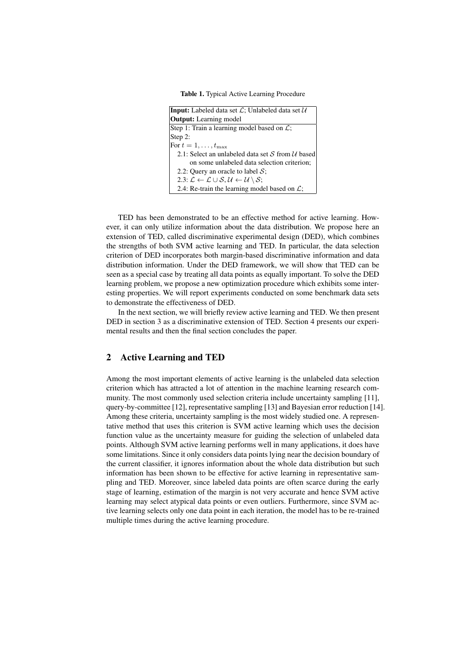Table 1. Typical Active Learning Procedure

| <b>Input:</b> Labeled data set $\mathcal{L}$ ; Unlabeled data set $\mathcal{U}$                                       |
|-----------------------------------------------------------------------------------------------------------------------|
| <b>Output:</b> Learning model                                                                                         |
| Step 1: Train a learning model based on $\mathcal{L}$ ;                                                               |
| Step 2:                                                                                                               |
| For $t=1,\ldots,t_{\max}$                                                                                             |
| 2.1: Select an unlabeled data set S from U based                                                                      |
| on some unlabeled data selection criterion;                                                                           |
| 2.2: Query an oracle to label $S$ ;                                                                                   |
| 2.3: $\mathcal{L} \leftarrow \mathcal{L} \cup \mathcal{S}, \mathcal{U} \leftarrow \mathcal{U} \setminus \mathcal{S};$ |
| 2.4: Re-train the learning model based on $\mathcal{L}$ ;                                                             |

TED has been demonstrated to be an effective method for active learning. However, it can only utilize information about the data distribution. We propose here an extension of TED, called discriminative experimental design (DED), which combines the strengths of both SVM active learning and TED. In particular, the data selection criterion of DED incorporates both margin-based discriminative information and data distribution information. Under the DED framework, we will show that TED can be seen as a special case by treating all data points as equally important. To solve the DED learning problem, we propose a new optimization procedure which exhibits some interesting properties. We will report experiments conducted on some benchmark data sets to demonstrate the effectiveness of DED.

In the next section, we will briefly review active learning and TED. We then present DED in section 3 as a discriminative extension of TED. Section 4 presents our experimental results and then the final section concludes the paper.

### 2 Active Learning and TED

Among the most important elements of active learning is the unlabeled data selection criterion which has attracted a lot of attention in the machine learning research community. The most commonly used selection criteria include uncertainty sampling [11], query-by-committee [12], representative sampling [13] and Bayesian error reduction [14]. Among these criteria, uncertainty sampling is the most widely studied one. A representative method that uses this criterion is SVM active learning which uses the decision function value as the uncertainty measure for guiding the selection of unlabeled data points. Although SVM active learning performs well in many applications, it does have some limitations. Since it only considers data points lying near the decision boundary of the current classifier, it ignores information about the whole data distribution but such information has been shown to be effective for active learning in representative sampling and TED. Moreover, since labeled data points are often scarce during the early stage of learning, estimation of the margin is not very accurate and hence SVM active learning may select atypical data points or even outliers. Furthermore, since SVM active learning selects only one data point in each iteration, the model has to be re-trained multiple times during the active learning procedure.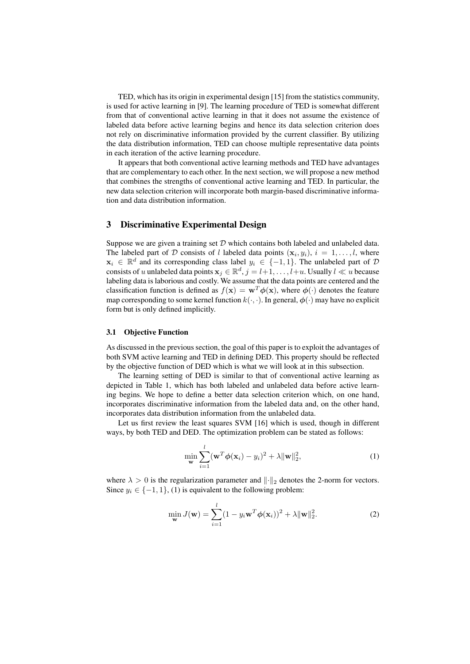TED, which has its origin in experimental design [15] from the statistics community, is used for active learning in [9]. The learning procedure of TED is somewhat different from that of conventional active learning in that it does not assume the existence of labeled data before active learning begins and hence its data selection criterion does not rely on discriminative information provided by the current classifier. By utilizing the data distribution information, TED can choose multiple representative data points in each iteration of the active learning procedure.

It appears that both conventional active learning methods and TED have advantages that are complementary to each other. In the next section, we will propose a new method that combines the strengths of conventional active learning and TED. In particular, the new data selection criterion will incorporate both margin-based discriminative information and data distribution information.

### 3 Discriminative Experimental Design

Suppose we are given a training set  $D$  which contains both labeled and unlabeled data. The labeled part of *D* consists of *l* labeled data points  $(\mathbf{x}_i, y_i)$ ,  $i = 1, \ldots, l$ , where  $\mathbf{x}_i \in \mathbb{R}^d$  and its corresponding class label  $y_i \in \{-1, 1\}$ . The unlabeled part of *D* consists of *u* unlabeled data points  $\mathbf{x}_j \in \mathbb{R}^d$ ,  $j = l+1, \ldots, l+u$ . Usually  $l \ll u$  because labeling data is laborious and costly. We assume that the data points are centered and the classification function is defined as  $f(\mathbf{x}) = \mathbf{w}^T \phi(\mathbf{x})$ , where  $\phi(\cdot)$  denotes the feature map corresponding to some kernel function  $k(\cdot, \cdot)$ . In general,  $\phi(\cdot)$  may have no explicit form but is only defined implicitly.

### 3.1 Objective Function

As discussed in the previous section, the goal of this paper is to exploit the advantages of both SVM active learning and TED in defining DED. This property should be reflected by the objective function of DED which is what we will look at in this subsection.

The learning setting of DED is similar to that of conventional active learning as depicted in Table 1, which has both labeled and unlabeled data before active learning begins. We hope to define a better data selection criterion which, on one hand, incorporates discriminative information from the labeled data and, on the other hand, incorporates data distribution information from the unlabeled data.

Let us first review the least squares SVM [16] which is used, though in different ways, by both TED and DED. The optimization problem can be stated as follows:

$$
\min_{\mathbf{w}} \sum_{i=1}^{l} (\mathbf{w}^T \boldsymbol{\phi}(\mathbf{x}_i) - y_i)^2 + \lambda \|\mathbf{w}\|_2^2, \tag{1}
$$

where  $\lambda > 0$  is the regularization parameter and  $\|\cdot\|_2$  denotes the 2-norm for vectors. Since  $y_i \in \{-1, 1\}$ , (1) is equivalent to the following problem:

$$
\min_{\mathbf{w}} J(\mathbf{w}) = \sum_{i=1}^{l} (1 - y_i \mathbf{w}^T \boldsymbol{\phi}(\mathbf{x}_i))^2 + \lambda \|\mathbf{w}\|_2^2.
$$
 (2)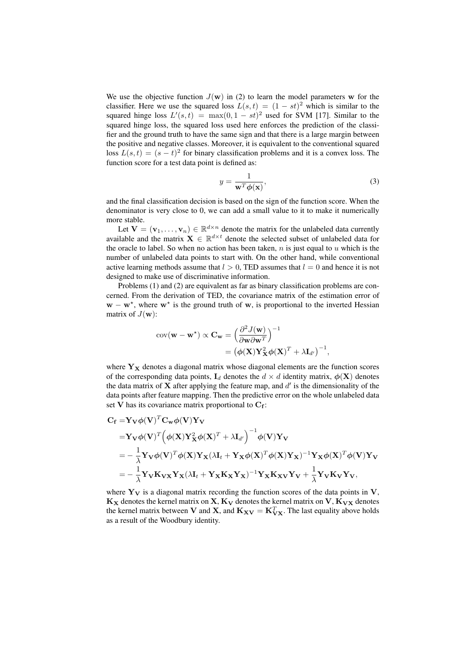We use the objective function  $J(\mathbf{w})$  in (2) to learn the model parameters **w** for the classifier. Here we use the squared loss  $L(s,t) = (1 - st)^2$  which is similar to the squared hinge loss  $L'(s,t) = \max(0,1 - st)^2$  used for SVM [17]. Similar to the squared hinge loss, the squared loss used here enforces the prediction of the classifier and the ground truth to have the same sign and that there is a large margin between the positive and negative classes. Moreover, it is equivalent to the conventional squared loss  $L(s,t) = (s - t)^2$  for binary classification problems and it is a convex loss. The function score for a test data point is defined as:

$$
y = \frac{1}{\mathbf{w}^T \phi(\mathbf{x})},\tag{3}
$$

and the final classification decision is based on the sign of the function score. When the denominator is very close to 0, we can add a small value to it to make it numerically more stable.

Let  $V = (v_1, \dots, v_n) \in \mathbb{R}^{d \times n}$  denote the matrix for the unlabeled data currently available and the matrix  $\mathbf{X} \in \mathbb{R}^{d \times t}$  denote the selected subset of unlabeled data for the oracle to label. So when no action has been taken, *n* is just equal to *u* which is the number of unlabeled data points to start with. On the other hand, while conventional active learning methods assume that  $l > 0$ , TED assumes that  $l = 0$  and hence it is not designed to make use of discriminative information.

Problems (1) and (2) are equivalent as far as binary classification problems are concerned. From the derivation of TED, the covariance matrix of the estimation error of **w** − **w**<sup>*★*</sup>, where **w**<sup>*★*</sup> is the ground truth of **w**, is proportional to the inverted Hessian matrix of  $J(\mathbf{w})$ :

$$
cov(\mathbf{w} - \mathbf{w}^*) \propto \mathbf{C_w} = \left(\frac{\partial^2 J(\mathbf{w})}{\partial \mathbf{w} \partial \mathbf{w}^T}\right)^{-1}
$$
  
=  $(\phi(\mathbf{X}) \mathbf{Y}_\mathbf{X}^2 \phi(\mathbf{X})^T + \lambda \mathbf{I}_{d'})^{-1},$ 

where  $Y_X$  denotes a diagonal matrix whose diagonal elements are the function scores of the corresponding data points,  $I_d$  denotes the  $d \times d$  identity matrix,  $\phi(\mathbf{X})$  denotes the data matrix of **X** after applying the feature map, and *d ′* is the dimensionality of the data points after feature mapping. Then the predictive error on the whole unlabeled data set **V** has its covariance matrix proportional to **C<sup>f</sup>** :

$$
C_f = Y_V \phi(V)^T C_w \phi(V) Y_V
$$
  
\n
$$
= Y_V \phi(V)^T (\phi(X) Y_X^2 \phi(X)^T + \lambda I_{d'})^{-1} \phi(V) Y_V
$$
  
\n
$$
= -\frac{1}{\lambda} Y_V \phi(V)^T \phi(X) Y_X (\lambda I_t + Y_X \phi(X)^T \phi(X) Y_X)^{-1} Y_X \phi(X)^T \phi(V) Y_V
$$
  
\n
$$
= -\frac{1}{\lambda} Y_V K_{VX} Y_X (\lambda I_t + Y_X K_X Y_X)^{-1} Y_X K_X V_Y + \frac{1}{\lambda} Y_V K_V Y_V,
$$

where  $\mathbf{Y}_V$  is a diagonal matrix recording the function scores of the data points in  $\mathbf{V}$ ,  $K_X$  denotes the kernel matrix on  $X$ ,  $K_V$  denotes the kernel matrix on  $V$ ,  $K_{VX}$  denotes the kernel matrix between **V** and **X**, and  $\mathbf{K_{XV}} = \mathbf{K_{VX}^T}$ . The last equality above holds as a result of the Woodbury identity.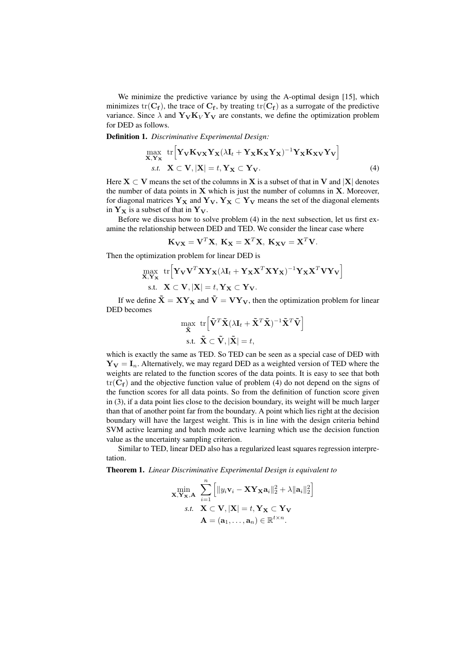We minimize the predictive variance by using the A-optimal design [15], which minimizes  $tr(C_f)$ , the trace of  $C_f$ , by treating  $tr(C_f)$  as a surrogate of the predictive variance. Since  $\lambda$  and  $\mathbf{Y}_V \mathbf{K}_V \mathbf{Y}_V$  are constants, we define the optimization problem for DED as follows.

Definition 1. *Discriminative Experimental Design:*

$$
\max_{\mathbf{X}, \mathbf{Y}_{\mathbf{X}}} \text{tr} \Big[ \mathbf{Y}_{\mathbf{V}} \mathbf{K}_{\mathbf{V} \mathbf{X}} \mathbf{Y}_{\mathbf{X}} (\lambda \mathbf{I}_t + \mathbf{Y}_{\mathbf{X}} \mathbf{K}_{\mathbf{X}} \mathbf{Y}_{\mathbf{X}})^{-1} \mathbf{Y}_{\mathbf{X}} \mathbf{K}_{\mathbf{X} \mathbf{V}} \mathbf{Y}_{\mathbf{V}} \Big] \text{s.t.} \quad \mathbf{X} \subset \mathbf{V}, |\mathbf{X}| = t, \mathbf{Y}_{\mathbf{X}} \subset \mathbf{Y}_{\mathbf{V}}.
$$
\n(4)

Here  $X \subset V$  means the set of the columns in X is a subset of that in V and  $|X|$  denotes the number of data points in **X** which is just the number of columns in **X**. Moreover, for diagonal matrices  $Y_X$  and  $Y_V$ ,  $Y_X \subset Y_V$  means the set of the diagonal elements in  $Y_X$  is a subset of that in  $Y_V$ .

Before we discuss how to solve problem (4) in the next subsection, let us first examine the relationship between DED and TED. We consider the linear case where

$$
\mathbf{K}_{\mathbf{V}\mathbf{X}} = \mathbf{V}^T \mathbf{X}, \ \mathbf{K}_{\mathbf{X}} = \mathbf{X}^T \mathbf{X}, \ \mathbf{K}_{\mathbf{X}\mathbf{V}} = \mathbf{X}^T \mathbf{V}.
$$

Then the optimization problem for linear DED is

$$
\begin{aligned} & \max_{\mathbf{X}, \mathbf{Y_X}} \text{ tr}\Big[\mathbf{Y_V}\mathbf{V}^T\mathbf{X}\mathbf{Y_X}(\lambda\mathbf{I}_t+\mathbf{Y_X}\mathbf{X}^T\mathbf{X}\mathbf{Y_X})^{-1}\mathbf{Y_X}\mathbf{X}^T\mathbf{V}\mathbf{Y_V}\Big] \\ & \text{s.t.} \quad \mathbf{X} \subset \mathbf{V}, |\mathbf{X}| = t, \mathbf{Y_X} \subset \mathbf{Y_V}. \end{aligned}
$$

If we define  $\tilde{\mathbf{X}} = \mathbf{X} \mathbf{Y}_{\mathbf{X}}$  and  $\tilde{\mathbf{V}} = \mathbf{V} \mathbf{Y}_{\mathbf{V}}$ , then the optimization problem for linear DED becomes

$$
\begin{aligned} \max_{\tilde{\mathbf{X}}} \ \ \text{tr} & \left[ \tilde{\mathbf{V}}^T \tilde{\mathbf{X}} (\lambda \mathbf{I}_t + \tilde{\mathbf{X}}^T \tilde{\mathbf{X}})^{-1} \tilde{\mathbf{X}}^T \tilde{\mathbf{V}} \right] \\ \text{s.t.} \ \ \tilde{\mathbf{X}} &\subset \tilde{\mathbf{V}}, |\tilde{\mathbf{X}}| = t, \end{aligned}
$$

which is exactly the same as TED. So TED can be seen as a special case of DED with  $\mathbf{Y_V} = \mathbf{I}_n$ . Alternatively, we may regard DED as a weighted version of TED where the weights are related to the function scores of the data points. It is easy to see that both  $tr(C_f)$  and the objective function value of problem (4) do not depend on the signs of the function scores for all data points. So from the definition of function score given in (3), if a data point lies close to the decision boundary, its weight will be much larger than that of another point far from the boundary. A point which lies right at the decision boundary will have the largest weight. This is in line with the design criteria behind SVM active learning and batch mode active learning which use the decision function value as the uncertainty sampling criterion.

Similar to TED, linear DED also has a regularized least squares regression interpretation.

Theorem 1. *Linear Discriminative Experimental Design is equivalent to*

$$
\min_{\mathbf{X}, \mathbf{Y}_{\mathbf{X}}, \mathbf{A}} \sum_{i=1}^{n} \left[ \|y_i \mathbf{v}_i - \mathbf{X} \mathbf{Y}_{\mathbf{X}} \mathbf{a}_i\|_2^2 + \lambda \|\mathbf{a}_i\|_2^2 \right]
$$
  
s.t.  $\mathbf{X} \subset \mathbf{V}, |\mathbf{X}| = t, \mathbf{Y}_{\mathbf{X}} \subset \mathbf{Y}_{\mathbf{V}}$   
 $\mathbf{A} = (\mathbf{a}_1, \dots, \mathbf{a}_n) \in \mathbb{R}^{t \times n}$ .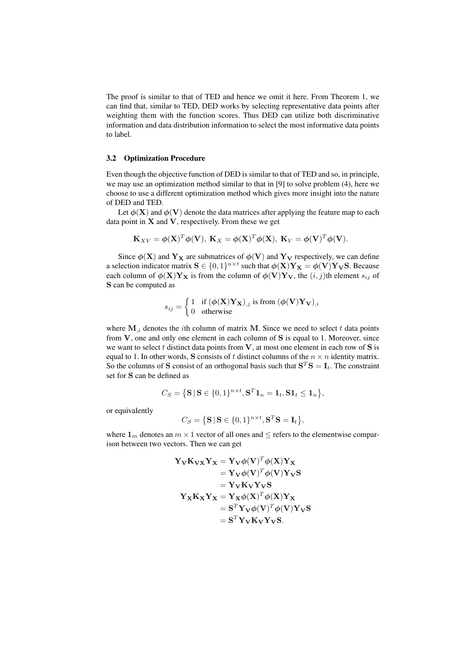The proof is similar to that of TED and hence we omit it here. From Theorem 1, we can find that, similar to TED, DED works by selecting representative data points after weighting them with the function scores. Thus DED can utilize both discriminative information and data distribution information to select the most informative data points to label.

#### 3.2 Optimization Procedure

Even though the objective function of DED is similar to that of TED and so, in principle, we may use an optimization method similar to that in [9] to solve problem (4), here we choose to use a different optimization method which gives more insight into the nature of DED and TED.

Let  $\phi(\mathbf{X})$  and  $\phi(\mathbf{V})$  denote the data matrices after applying the feature map to each data point in **X** and **V**, respectively. From these we get

$$
\mathbf{K}_{XY} = \phi(\mathbf{X})^T \phi(\mathbf{V}), \ \mathbf{K}_X = \phi(\mathbf{X})^T \phi(\mathbf{X}), \ \mathbf{K}_V = \phi(\mathbf{V})^T \phi(\mathbf{V}).
$$

Since  $\phi(\mathbf{X})$  and  $\mathbf{Y}_{\mathbf{X}}$  are submatrices of  $\phi(\mathbf{V})$  and  $\mathbf{Y}_{\mathbf{V}}$  respectively, we can define a selection indicator matrix  $S \in \{0,1\}^{n \times t}$  such that  $\phi(X)Y_X = \phi(V)Y_VS$ . Because each column of  $\phi(\mathbf{X})\mathbf{Y}_\mathbf{X}$  is from the column of  $\phi(\mathbf{V})\mathbf{Y}_\mathbf{V}$ , the  $(i, j)$ th element  $s_{ij}$  of **S** can be computed as

$$
s_{ij} = \begin{cases} 1 & \text{if } (\boldsymbol{\phi}(\mathbf{X})\mathbf{Y}_{\mathbf{X}})_{,j} \text{ is from } (\boldsymbol{\phi}(\mathbf{V})\mathbf{Y}_{\mathbf{V}})_{,i} \\ 0 & \text{otherwise} \end{cases}
$$

where  $M_i$  denotes the *i*th column of matrix M. Since we need to select  $t$  data points from **V**, one and only one element in each column of **S** is equal to 1. Moreover, since we want to select *t* distinct data points from **V**, at most one element in each row of **S** is equal to 1. In other words, S consists of *t* distinct columns of the  $n \times n$  identity matrix. So the columns of **S** consist of an orthogonal basis such that  $S^T S = I_t$ . The constraint set for **S** can be defined as

$$
C_S = \{ \mathbf{S} \, | \, \mathbf{S} \in \{0,1\}^{n \times t}, \mathbf{S}^T \mathbf{1}_n = \mathbf{1}_t, \mathbf{S} \mathbf{1}_t \leq \mathbf{1}_n \},
$$

or equivalently

$$
C_S = \{ \mathbf{S} \, | \, \mathbf{S} \in \{0,1\}^{n \times t}, \mathbf{S}^T \mathbf{S} = \mathbf{I}_t \},
$$

where  $\mathbf{1}_m$  denotes an  $m \times 1$  vector of all ones and  $\leq$  refers to the elementwise comparison between two vectors. Then we can get

$$
\mathbf{Y}_{\mathbf{V}}\mathbf{K}_{\mathbf{V}\mathbf{X}}\mathbf{Y}_{\mathbf{X}} = \mathbf{Y}_{\mathbf{V}}\phi(\mathbf{V})^T\phi(\mathbf{X})\mathbf{Y}_{\mathbf{X}} \n= \mathbf{Y}_{\mathbf{V}}\phi(\mathbf{V})^T\phi(\mathbf{V})\mathbf{Y}_{\mathbf{V}}\mathbf{S} \n= \mathbf{Y}_{\mathbf{V}}\mathbf{K}_{\mathbf{V}}\mathbf{Y}_{\mathbf{V}}\mathbf{S} \n\mathbf{Y}_{\mathbf{X}}\mathbf{K}_{\mathbf{X}}\mathbf{Y}_{\mathbf{X}} = \mathbf{Y}_{\mathbf{X}}\phi(\mathbf{X})^T\phi(\mathbf{X})\mathbf{Y}_{\mathbf{X}} \n= \mathbf{S}^T\mathbf{Y}_{\mathbf{V}}\phi(\mathbf{V})^T\phi(\mathbf{V})\mathbf{Y}_{\mathbf{V}}\mathbf{S} \n= \mathbf{S}^T\mathbf{Y}_{\mathbf{V}}\mathbf{K}_{\mathbf{V}}\mathbf{Y}_{\mathbf{V}}\mathbf{S}.
$$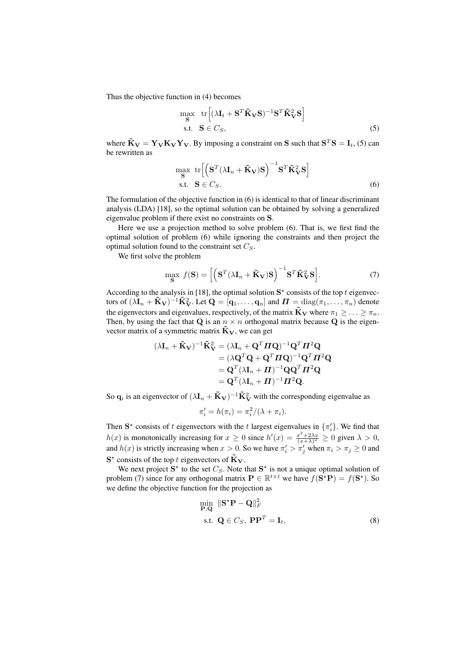Thus the objective function in (4) becomes

$$
\max_{\mathbf{S}} \text{ tr}\left[ (\lambda \mathbf{I}_t + \mathbf{S}^T \tilde{\mathbf{K}}_\mathbf{V} \mathbf{S})^{-1} \mathbf{S}^T \tilde{\mathbf{K}}_\mathbf{V}^2 \mathbf{S} \right]
$$
  
s.t.  $\mathbf{S} \in C_S$ , (5)

where  $\mathbf{\tilde{K}_V} = \mathbf{Y}_V \mathbf{K}_V \mathbf{Y}_V$ . By imposing a constraint on  $\mathbf{S}$  such that  $\mathbf{S}^T \mathbf{S} = \mathbf{I}_t$ , (5) can be rewritten as

$$
\max_{\mathbf{S}} \text{ tr}\left[ \left( \mathbf{S}^T (\lambda \mathbf{I}_n + \tilde{\mathbf{K}}_{\mathbf{V}}) \mathbf{S} \right)^{-1} \mathbf{S}^T \tilde{\mathbf{K}}_{\mathbf{V}}^2 \mathbf{S} \right]
$$
  
s.t.  $\mathbf{S} \in C_S$ . (6)

The formulation of the objective function in (6) is identical to that of linear discriminant analysis (LDA) [18], so the optimal solution can be obtained by solving a generalized eigenvalue problem if there exist no constraints on **S**.

Here we use a projection method to solve problem (6). That is, we first find the optimal solution of problem (6) while ignoring the constraints and then project the optimal solution found to the constraint set *CS*.

We first solve the problem

$$
\max_{\mathbf{S}} f(\mathbf{S}) = \left[ \left( \mathbf{S}^T (\lambda \mathbf{I}_n + \tilde{\mathbf{K}}_{\mathbf{V}}) \mathbf{S} \right)^{-1} \mathbf{S}^T \tilde{\mathbf{K}}_{\mathbf{V}}^2 \mathbf{S} \right].
$$
 (7)

According to the analysis in [18], the optimal solution  $S^*$  consists of the top *t* eigenvectors of  $(\lambda I_n + \tilde{K}_V)^{-1} \tilde{K}_V^2$ . Let  $Q = [q_1, \ldots, q_n]$  and  $\Pi = \text{diag}(\pi_1, \ldots, \pi_n)$  denote the eigenvectors and eigenvalues, respectively, of the matrix  $\tilde{\mathbf{K}}_{\mathbf{V}}$  where  $\pi_1 \geq \ldots \geq \pi_n$ . Then, by using the fact that **Q** is an  $n \times n$  orthogonal matrix because **Q** is the eigenvector matrix of a symmetric matrix  $\mathbf{K}_{\mathbf{V}}$ , we can get

$$
(\lambda \mathbf{I}_n + \tilde{\mathbf{K}} \mathbf{v})^{-1} \tilde{\mathbf{K}}_{\mathbf{V}}^2 = (\lambda \mathbf{I}_n + \mathbf{Q}^T \mathbf{\Pi} \mathbf{Q})^{-1} \mathbf{Q}^T \mathbf{\Pi}^2 \mathbf{Q}
$$
  
=  $(\lambda \mathbf{Q}^T \mathbf{Q} + \mathbf{Q}^T \mathbf{\Pi} \mathbf{Q})^{-1} \mathbf{Q}^T \mathbf{\Pi}^2 \mathbf{Q}$   
=  $\mathbf{Q}^T (\lambda \mathbf{I}_n + \mathbf{\Pi})^{-1} \mathbf{Q} \mathbf{Q}^T \mathbf{\Pi}^2 \mathbf{Q}$   
=  $\mathbf{Q}^T (\lambda \mathbf{I}_n + \mathbf{\Pi})^{-1} \mathbf{\Pi}^2 \mathbf{Q}.$ 

So  $\mathbf{q}_i$  is an eigenvector of  $(\lambda \mathbf{I}_n + \tilde{\mathbf{K}}_{\mathbf{V}})^{-1} \tilde{\mathbf{K}}_{\mathbf{V}}^2$  with the corresponding eigenvalue as

$$
\pi_i' = h(\pi_i) = \pi_i^2/(\lambda + \pi_i).
$$

Then  $\mathbf{S}^*$  consists of *t* eigenvectors with the *t* largest eigenvalues in  $\{\pi_i\}$ . We find that *h*(*x*) is monotonically increasing for  $x \ge 0$  since  $h'(x) = \frac{x^2 + 2\lambda x}{(x + \lambda)^2} \ge 0$  given  $\lambda > 0$ , and  $h(x)$  is strictly increasing when  $x > 0$ . So we have  $\pi'_i > \pi'_j$  when  $\pi_i > \pi_j \ge 0$  and  $\mathbf{S}^*$  consists of the top *t* eigenvectors of  $\mathbf{\tilde{K}}_{\mathbf{V}}$ .

We next project  $S^*$  to the set  $C_S$ . Note that  $S^*$  is not a unique optimal solution of problem (7) since for any orthogonal matrix  $P \in \mathbb{R}^{t \times t}$  we have  $f(S^*P) = f(S^*)$ . So we define the objective function for the projection as

$$
\min_{\mathbf{P}, \mathbf{Q}} \|\mathbf{S}^{\star} \mathbf{P} - \mathbf{Q}\|_{F}^{2}
$$
  
s.t.  $\mathbf{Q} \in C_{S}$ ,  $\mathbf{P} \mathbf{P}^{T} = \mathbf{I}_{t}$ , (8)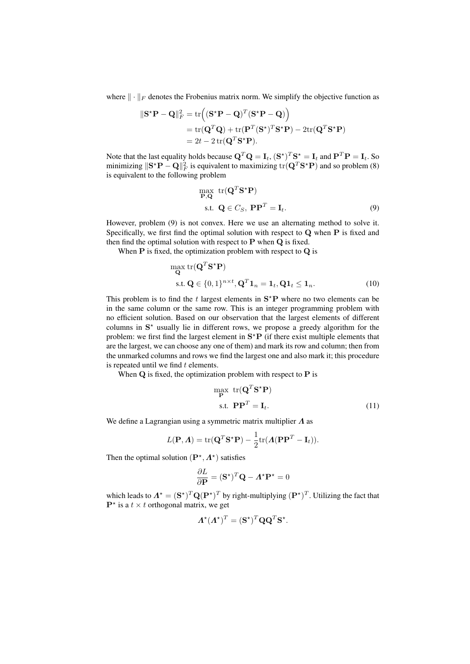where  $\| \cdot \|_F$  denotes the Frobenius matrix norm. We simplify the objective function as

$$
\|\mathbf{S}^{\star}\mathbf{P} - \mathbf{Q}\|_{F}^{2} = \text{tr}((\mathbf{S}^{\star}\mathbf{P} - \mathbf{Q})^{T}(\mathbf{S}^{\star}\mathbf{P} - \mathbf{Q}))
$$
  
= tr( $\mathbf{Q}^{T}\mathbf{Q}$ ) + tr( $\mathbf{P}^{T}(\mathbf{S}^{\star})^{T}\mathbf{S}^{\star}\mathbf{P}$ ) - 2tr( $\mathbf{Q}^{T}\mathbf{S}^{\star}\mathbf{P}$ )  
= 2t - 2 tr( $\mathbf{Q}^{T}\mathbf{S}^{\star}\mathbf{P}$ ).

Note that the last equality holds because  $\mathbf{Q}^T \mathbf{Q} = \mathbf{I}_t, (\mathbf{S}^\star)^T \mathbf{S}^\star = \mathbf{I}_t$  and  $\mathbf{P}^T \mathbf{P} = \mathbf{I}_t.$  So minimizing *∥***S** *<sup>⋆</sup>***P** *−* **Q***∥* 2 *F* is equivalent to maximizing tr(**Q***<sup>T</sup>* **S** *<sup>⋆</sup>***P**) and so problem (8) is equivalent to the following problem

$$
\max_{\mathbf{P},\mathbf{Q}} \text{tr}(\mathbf{Q}^T \mathbf{S}^* \mathbf{P})
$$
  
s.t.  $\mathbf{Q} \in C_S$ ,  $\mathbf{P} \mathbf{P}^T = \mathbf{I}_t$ . (9)

However, problem (9) is not convex. Here we use an alternating method to solve it. Specifically, we first find the optimal solution with respect to **Q** when **P** is fixed and then find the optimal solution with respect to **P** when **Q** is fixed.

When **P** is fixed, the optimization problem with respect to **Q** is

$$
\max_{\mathbf{Q}} \text{tr}(\mathbf{Q}^T \mathbf{S}^* \mathbf{P})
$$
  
s.t.  $\mathbf{Q} \in \{0, 1\}^{n \times t}, \mathbf{Q}^T \mathbf{1}_n = \mathbf{1}_t, \mathbf{Q} \mathbf{1}_t \le \mathbf{1}_n.$  (10)

This problem is to find the  $t$  largest elements in  $S<sup>*</sup>P$  where no two elements can be in the same column or the same row. This is an integer programming problem with no efficient solution. Based on our observation that the largest elements of different columns in  $S^*$  usually lie in different rows, we propose a greedy algorithm for the problem: we first find the largest element in **S** *<sup>⋆</sup>***P** (if there exist multiple elements that are the largest, we can choose any one of them) and mark its row and column; then from the unmarked columns and rows we find the largest one and also mark it; this procedure is repeated until we find *t* elements.

When **Q** is fixed, the optimization problem with respect to **P** is

$$
\max_{\mathbf{P}} \text{tr}(\mathbf{Q}^T \mathbf{S}^* \mathbf{P})
$$
  
s.t.  $\mathbf{P} \mathbf{P}^T = \mathbf{I}_t.$  (11)

We define a Lagrangian using a symmetric matrix multiplier *Λ* as

$$
L(\mathbf{P}, \Lambda) = \text{tr}(\mathbf{Q}^T \mathbf{S}^* \mathbf{P}) - \frac{1}{2} \text{tr}(\Lambda (\mathbf{P} \mathbf{P}^T - \mathbf{I}_t)).
$$

Then the optimal solution  $(\mathbf{P}^{\star}, \boldsymbol{\Lambda}^{\star})$  satisfies

$$
\frac{\partial L}{\partial \mathbf{P}} = (\mathbf{S}^{\star})^T \mathbf{Q} - \mathbf{\Lambda}^{\star} \mathbf{P}^{\star} = 0
$$

which leads to  $\mathbf{\Lambda}^* = (\mathbf{S}^*)^T \mathbf{Q}(\mathbf{P}^*)^T$  by right-multiplying  $(\mathbf{P}^*)^T$ . Utilizing the fact that  $\mathbf{P}^{\star}$  is a  $t \times t$  orthogonal matrix, we get

$$
\Lambda^{\star}(\Lambda^{\star})^T = (\mathbf{S}^{\star})^T \mathbf{Q} \mathbf{Q}^T \mathbf{S}^{\star}.
$$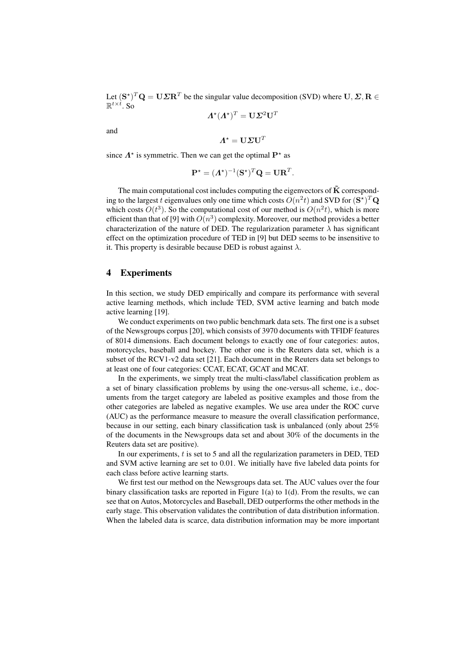Let  $({\bf S}^*)^T{\bf Q} = {\bf U}\Sigma {\bf R}^T$  be the singular value decomposition (SVD) where  ${\bf U}, \Sigma, {\bf R} \in$  $\mathbb{R}^{t \times t}$ . So

$$
\boldsymbol{\varLambda}^\star(\boldsymbol{\varLambda}^\star)^T = \mathbf{U}\boldsymbol{\varSigma}^2\mathbf{U}^T
$$

and

$$
\boldsymbol{\varLambda}^\star = \mathbf{U} \boldsymbol{\varSigma} \mathbf{U}^T
$$

since *Λ<sup>⋆</sup>* is symmetric. Then we can get the optimal **P***<sup>⋆</sup>* as

$$
\mathbf{P}^{\star} = (\boldsymbol{\varLambda}^{\star})^{-1} (\mathbf{S}^{\star})^T \mathbf{Q} = \mathbf{U} \mathbf{R}^T.
$$

The main computational cost includes computing the eigenvectors of  $\tilde{K}$  corresponding to the largest *t* eigenvalues only one time which costs  $O(n^2t)$  and SVD for  $({\bf S}^{\star})^T{\bf Q}$ which costs  $O(t^3)$ . So the computational cost of our method is  $O(n^2t)$ , which is more efficient than that of [9] with  $O(n^3)$  complexity. Moreover, our method provides a better characterization of the nature of DED. The regularization parameter  $\lambda$  has significant effect on the optimization procedure of TED in [9] but DED seems to be insensitive to it. This property is desirable because DED is robust against *λ*.

## 4 Experiments

In this section, we study DED empirically and compare its performance with several active learning methods, which include TED, SVM active learning and batch mode active learning [19].

We conduct experiments on two public benchmark data sets. The first one is a subset of the Newsgroups corpus [20], which consists of 3970 documents with TFIDF features of 8014 dimensions. Each document belongs to exactly one of four categories: autos, motorcycles, baseball and hockey. The other one is the Reuters data set, which is a subset of the RCV1-v2 data set [21]. Each document in the Reuters data set belongs to at least one of four categories: CCAT, ECAT, GCAT and MCAT.

In the experiments, we simply treat the multi-class/label classification problem as a set of binary classification problems by using the one-versus-all scheme, i.e., documents from the target category are labeled as positive examples and those from the other categories are labeled as negative examples. We use area under the ROC curve (AUC) as the performance measure to measure the overall classification performance, because in our setting, each binary classification task is unbalanced (only about 25% of the documents in the Newsgroups data set and about 30% of the documents in the Reuters data set are positive).

In our experiments, *t* is set to 5 and all the regularization parameters in DED, TED and SVM active learning are set to 0.01. We initially have five labeled data points for each class before active learning starts.

We first test our method on the Newsgroups data set. The AUC values over the four binary classification tasks are reported in Figure 1(a) to 1(d). From the results, we can see that on Autos, Motorcycles and Baseball, DED outperforms the other methods in the early stage. This observation validates the contribution of data distribution information. When the labeled data is scarce, data distribution information may be more important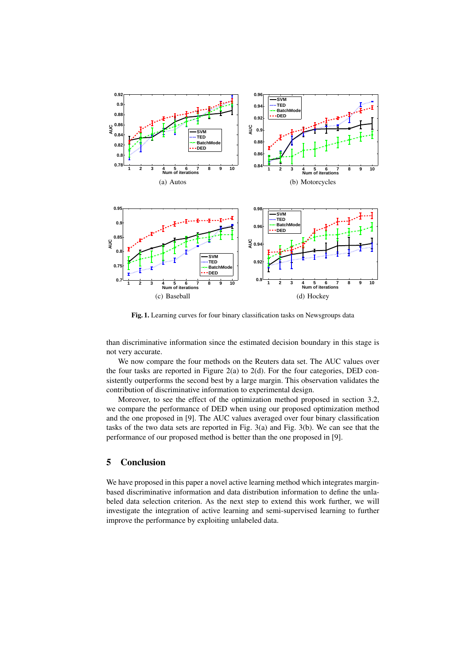

Fig. 1. Learning curves for four binary classification tasks on Newsgroups data

than discriminative information since the estimated decision boundary in this stage is not very accurate.

We now compare the four methods on the Reuters data set. The AUC values over the four tasks are reported in Figure 2(a) to 2(d). For the four categories, DED consistently outperforms the second best by a large margin. This observation validates the contribution of discriminative information to experimental design.

Moreover, to see the effect of the optimization method proposed in section 3.2, we compare the performance of DED when using our proposed optimization method and the one proposed in [9]. The AUC values averaged over four binary classification tasks of the two data sets are reported in Fig. 3(a) and Fig. 3(b). We can see that the performance of our proposed method is better than the one proposed in [9].

### 5 Conclusion

We have proposed in this paper a novel active learning method which integrates marginbased discriminative information and data distribution information to define the unlabeled data selection criterion. As the next step to extend this work further, we will investigate the integration of active learning and semi-supervised learning to further improve the performance by exploiting unlabeled data.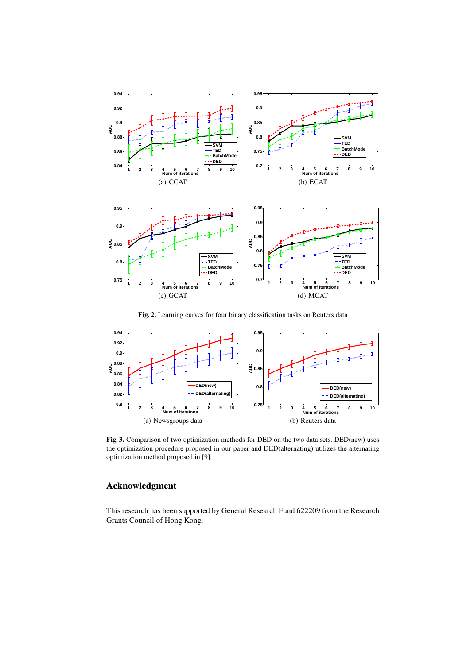

Fig. 2. Learning curves for four binary classification tasks on Reuters data



Fig. 3. Comparison of two optimization methods for DED on the two data sets. DED(new) uses the optimization procedure proposed in our paper and DED(alternating) utilizes the alternating optimization method proposed in [9].

# Acknowledgment

This research has been supported by General Research Fund 622209 from the Research Grants Council of Hong Kong.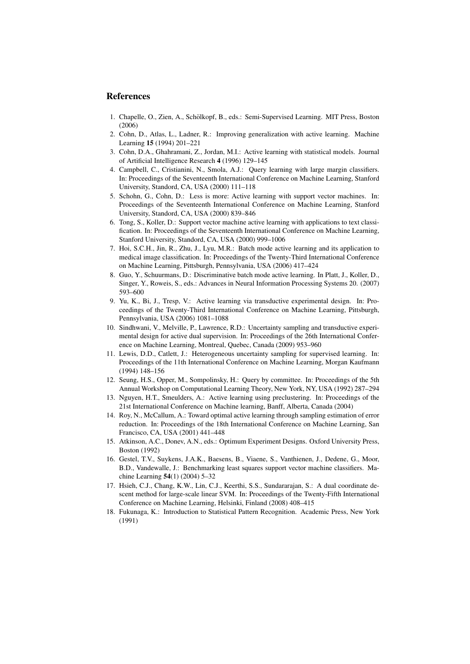# References

- 1. Chapelle, O., Zien, A., Scholkopf, B., eds.: Semi-Supervised Learning. MIT Press, Boston ¨ (2006)
- 2. Cohn, D., Atlas, L., Ladner, R.: Improving generalization with active learning. Machine Learning 15 (1994) 201–221
- 3. Cohn, D.A., Ghahramani, Z., Jordan, M.I.: Active learning with statistical models. Journal of Artificial Intelligence Research 4 (1996) 129–145
- 4. Campbell, C., Cristianini, N., Smola, A.J.: Query learning with large margin classifiers. In: Proceedings of the Seventeenth International Conference on Machine Learning, Stanford University, Standord, CA, USA (2000) 111–118
- 5. Schohn, G., Cohn, D.: Less is more: Active learning with support vector machines. In: Proceedings of the Seventeenth International Conference on Machine Learning, Stanford University, Standord, CA, USA (2000) 839–846
- 6. Tong, S., Koller, D.: Support vector machine active learning with applications to text classification. In: Proceedings of the Seventeenth International Conference on Machine Learning, Stanford University, Standord, CA, USA (2000) 999–1006
- 7. Hoi, S.C.H., Jin, R., Zhu, J., Lyu, M.R.: Batch mode active learning and its application to medical image classification. In: Proceedings of the Twenty-Third International Conference on Machine Learning, Pittsburgh, Pennsylvania, USA (2006) 417–424
- 8. Guo, Y., Schuurmans, D.: Discriminative batch mode active learning. In Platt, J., Koller, D., Singer, Y., Roweis, S., eds.: Advances in Neural Information Processing Systems 20. (2007) 593–600
- 9. Yu, K., Bi, J., Tresp, V.: Active learning via transductive experimental design. In: Proceedings of the Twenty-Third International Conference on Machine Learning, Pittsburgh, Pennsylvania, USA (2006) 1081–1088
- 10. Sindhwani, V., Melville, P., Lawrence, R.D.: Uncertainty sampling and transductive experimental design for active dual supervision. In: Proceedings of the 26th International Conference on Machine Learning, Montreal, Quebec, Canada (2009) 953–960
- 11. Lewis, D.D., Catlett, J.: Heterogeneous uncertainty sampling for supervised learning. In: Proceedings of the 11th International Conference on Machine Learning, Morgan Kaufmann (1994) 148–156
- 12. Seung, H.S., Opper, M., Sompolinsky, H.: Query by committee. In: Proceedings of the 5th Annual Workshop on Computational Learning Theory, New York, NY, USA (1992) 287–294
- 13. Nguyen, H.T., Smeulders, A.: Active learning using preclustering. In: Proceedings of the 21st International Conference on Machine learning, Banff, Alberta, Canada (2004)
- 14. Roy, N., McCallum, A.: Toward optimal active learning through sampling estimation of error reduction. In: Proceedings of the 18th International Conference on Machine Learning, San Francisco, CA, USA (2001) 441–448
- 15. Atkinson, A.C., Donev, A.N., eds.: Optimum Experiment Designs. Oxford University Press, Boston (1992)
- 16. Gestel, T.V., Suykens, J.A.K., Baesens, B., Viaene, S., Vanthienen, J., Dedene, G., Moor, B.D., Vandewalle, J.: Benchmarking least squares support vector machine classifiers. Machine Learning 54(1) (2004) 5–32
- 17. Hsieh, C.J., Chang, K.W., Lin, C.J., Keerthi, S.S., Sundararajan, S.: A dual coordinate descent method for large-scale linear SVM. In: Proceedings of the Twenty-Fifth International Conference on Machine Learning, Helsinki, Finland (2008) 408–415
- 18. Fukunaga, K.: Introduction to Statistical Pattern Recognition. Academic Press, New York (1991)